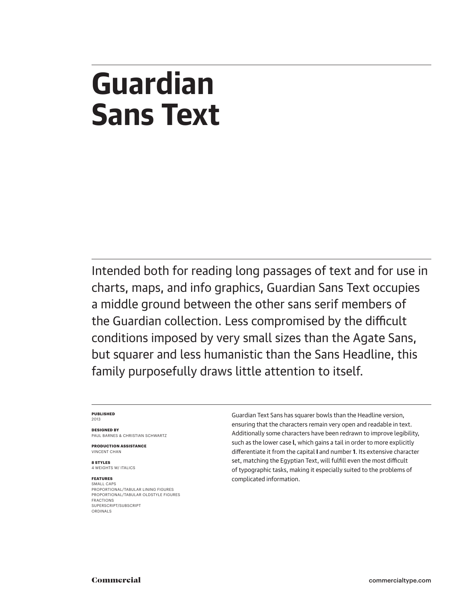# **Guardian Sans Text**

Intended both for reading long passages of text and for use in charts, maps, and info graphics, Guardian Sans Text occupies a middle ground between the other sans serif members of the Guardian collection. Less compromised by the difficult conditions imposed by very small sizes than the Agate Sans, but squarer and less humanistic than the Sans Headline, this family purposefully draws little attention to itself.

#### **PUBLISHED** 2013

**DESIGNED BY** PAUL BARNES & CHRISTIAN SCHWARTZ

**PRODUCTION ASSISTANCE** VINCENT CHAN

**8 STYLES** 4 WEIGHTS W/ ITALICS

#### **FEATURES** SMALL CAPS

PROPORTIONAL/TABULAR LINING FIGURES PROPORTIONAL/TABULAR OLDSTYLE FIGURES FRACTIONS SUPERSCRIPT/SUBSCRIPT ORDINALS

Guardian Text Sans has squarer bowls than the Headline version, ensuring that the characters remain very open and readable in text. Additionally some characters have been redrawn to improve legibility, such as the lower case **l**, which gains a tail in order to more explicitly differentiate it from the capital **I** and number **1**. Its extensive character set, matching the Egyptian Text, will fulfill even the most difficult of typographic tasks, making it especially suited to the problems of complicated information.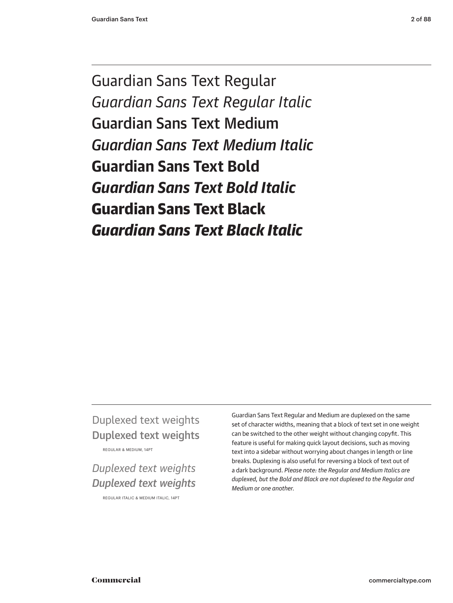Guardian Sans Text Regular *Guardian Sans Text Regular Italic* Guardian Sans Text Medium *Guardian Sans Text Medium Italic* **Guardian Sans Text Bold** *Guardian Sans Text Bold Italic* Guardian Sans Text Black *Guardian Sans Text Black Italic*

# Duplexed text weights Duplexed text weights

REGULAR & MEDIUM, 14PT

# *Duplexed text weights Duplexed text weights*

REGULAR ITALIC & MEDIUM ITALIC, 14PT

Guardian Sans Text Regular and Medium are duplexed on the same set of character widths, meaning that a block of text set in one weight can be switched to the other weight without changing copyfit. This feature is useful for making quick layout decisions, such as moving text into a sidebar without worrying about changes in length or line breaks. Duplexing is also useful for reversing a block of text out of a dark background. *Please note: the Regular and Medium Italics are duplexed, but the Bold and Black are not duplexed to the Regular and Medium or one another.*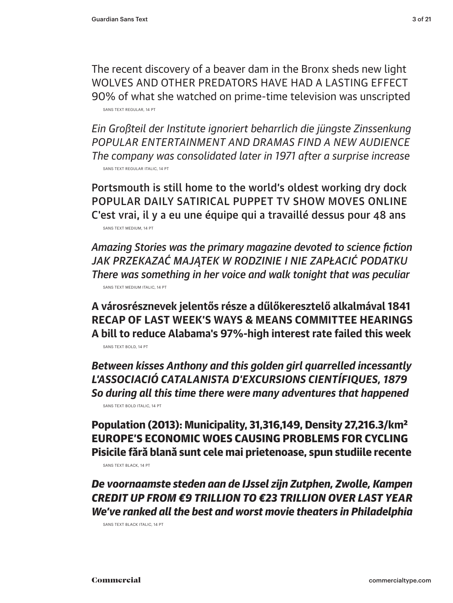The recent discovery of a beaver dam in the Bronx sheds new light WOLVES AND OTHER PREDATORS HAVE HAD A LASTING EFFECT 90% of what she watched on prime-time television was unscripted SANS TEXT REGULAR, 14 PT

*Ein Großteil der Institute ignoriert beharrlich die jüngste Zinssenkung POPULAR ENTERTAINMENT AND DRAMAS FIND A NEW AUDIENCE The company was consolidated later in 1971 after a surprise increase* SANS TEXT REGULAR ITALIC, 14 PT

Portsmouth is still home to the world's oldest working dry dock POPULAR DAILY SATIRICAL PUPPET TV SHOW MOVES ONLINE C'est vrai, il y a eu une équipe qui a travaillé dessus pour 48 ans SANS TEXT MEDIUM, 14 PT

*Amazing Stories was the primary magazine devoted to science fiction JAK PRZEKAZAĆ MAJĄTEK W RODZINIE I NIE ZAPŁACIĆ PODATKU There was something in her voice and walk tonight that was peculiar* SANS TEXT MEDIUM ITALIC, 14 PT

**A városrésznevek jelentős része a dűlőkeresztelő alkalmával 1841 RECAP OF LAST WEEK'S WAYS & MEANS COMMITTEE HEARINGS A bill to reduce Alabama's 97%-high interest rate failed this week** SANS TEXT BOLD, 14 PT

*Between kisses Anthony and this golden girl quarrelled incessantly L'ASSOCIACIÓ CATALANISTA D'EXCURSIONS CIENTÍFIQUES, 1879 So during all this time there were many adventures that happened* SANS TEXT BOLD ITALIC, 14 PT

Population (2013): Municipality, 31,316,149, Density 27,216.3/km2 EUROPE'S ECONOMIC WOES CAUSING PROBLEMS FOR CYCLING Pisicile fără blană sunt cele mai prietenoase, spun studiile recente SANS TEXT BLACK, 14 PT

*De voornaamste steden aan de IJssel zijn Zutphen, Zwolle, Kampen CREDIT UP FROM €9 TRILLION TO €23 TRILLION OVER LAST YEAR We've ranked all the best and worst movie theaters in Philadelphia*

SANS TEXT BLACK ITALIC, 14 PT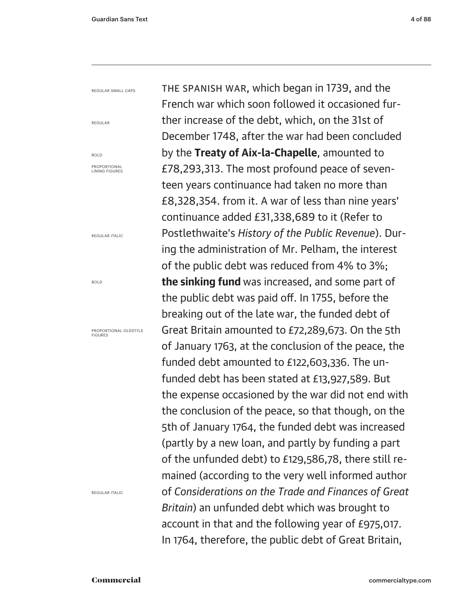REGULAR SMALL CAPS

REGULAR

BOLD PROPORTIONAL LINING FIGURES

REGULAR ITALIC

BOLD

PROPORTIONAL OLDSTYLE FIGURES

REGULAR ITALIC

The Spanish war, which began in 1739, and the French war which soon followed it occasioned further increase of the debt, which, on the 31st of December 1748, after the war had been concluded by the **Treaty of Aix-la-Chapelle**, amounted to £78,293,313. The most profound peace of seventeen years continuance had taken no more than £8,328,354. from it. A war of less than nine years' continuance added £31,338,689 to it (Refer to Postlethwaite's *History of the Public Revenue*). During the administration of Mr. Pelham, the interest of the public debt was reduced from 4% to 3%; **the sinking fund** was increased, and some part of the public debt was paid off. In 1755, before the breaking out of the late war, the funded debt of Great Britain amounted to £72,289,673. On the 5th of January 1763, at the conclusion of the peace, the funded debt amounted to £122,603,336. The unfunded debt has been stated at £13,927,589. But the expense occasioned by the war did not end with the conclusion of the peace, so that though, on the 5th of January 1764, the funded debt was increased (partly by a new loan, and partly by funding a part of the unfunded debt) to £129,586,78, there still remained (according to the very well informed author of *Considerations on the Trade and Finances of Great Britain*) an unfunded debt which was brought to account in that and the following year of £975,017. In 1764, therefore, the public debt of Great Britain,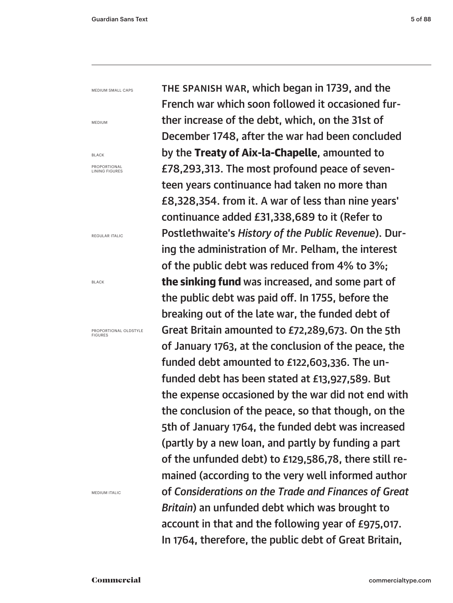MEDIUM SMALL CAPS

MEDIUM

BLACK

PROPORTIONAL LINING FIGURES

REGULAR ITALIC

BLACK

PROPORTIONAL OLDSTYLE FIGURES

MEDIUM ITALIC

The Spanish war, which began in 1739, and the French war which soon followed it occasioned further increase of the debt, which, on the 31st of December 1748, after the war had been concluded by the Treaty of Aix-la-Chapelle, amounted to £78,293,313. The most profound peace of seventeen years continuance had taken no more than £8,328,354. from it. A war of less than nine years' continuance added £31,338,689 to it (Refer to Postlethwaite's *History of the Public Revenue*). During the administration of Mr. Pelham, the interest of the public debt was reduced from 4% to 3%; the sinking fund was increased, and some part of the public debt was paid off. In 1755, before the breaking out of the late war, the funded debt of Great Britain amounted to £72,289,673. On the 5th of January 1763, at the conclusion of the peace, the funded debt amounted to £122,603,336. The unfunded debt has been stated at £13,927,589. But the expense occasioned by the war did not end with the conclusion of the peace, so that though, on the 5th of January 1764, the funded debt was increased (partly by a new loan, and partly by funding a part of the unfunded debt) to £129,586,78, there still remained (according to the very well informed author of *Considerations on the Trade and Finances of Great Britain*) an unfunded debt which was brought to account in that and the following year of £975,017. In 1764, therefore, the public debt of Great Britain,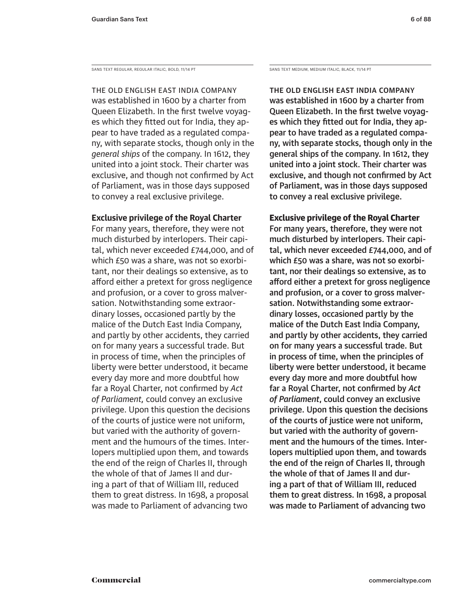SANS TEXT REGULAR, REGULAR ITALIC, BOLD, 11/14 PT SANS TEXT MEDIUM, MEDIUM ITALIC, BLACK, 11/14 PT

The old English East India Company was established in 1600 by a charter from Queen Elizabeth. In the first twelve voyages which they fitted out for India, they appear to have traded as a regulated company, with separate stocks, though only in the *general ships* of the company. In 1612, they united into a joint stock. Their charter was exclusive, and though not confirmed by Act of Parliament, was in those days supposed to convey a real exclusive privilege.

# **Exclusive privilege of the Royal Charter**

For many years, therefore, they were not much disturbed by interlopers. Their capital, which never exceeded £744,000, and of which £50 was a share, was not so exorbitant, nor their dealings so extensive, as to afford either a pretext for gross negligence and profusion, or a cover to gross malversation. Notwithstanding some extraordinary losses, occasioned partly by the malice of the Dutch East India Company, and partly by other accidents, they carried on for many years a successful trade. But in process of time, when the principles of liberty were better understood, it became every day more and more doubtful how far a Royal Charter, not confirmed by *Act of Parliament,* could convey an exclusive privilege. Upon this question the decisions of the courts of justice were not uniform, but varied with the authority of government and the humours of the times. Interlopers multiplied upon them, and towards the end of the reign of Charles II, through the whole of that of James II and during a part of that of William III, reduced them to great distress. In 1698, a proposal was made to Parliament of advancing two

The old English East India Company was established in 1600 by a charter from Queen Elizabeth. In the first twelve voyages which they fitted out for India, they appear to have traded as a regulated company, with separate stocks, though only in the general ships of the company. In 1612, they united into a joint stock. Their charter was exclusive, and though not confirmed by Act of Parliament, was in those days supposed to convey a real exclusive privilege.

# Exclusive privilege of the Royal Charter

For many years, therefore, they were not much disturbed by interlopers. Their capital, which never exceeded £744,000, and of which £50 was a share, was not so exorbitant, nor their dealings so extensive, as to afford either a pretext for gross negligence and profusion, or a cover to gross malversation. Notwithstanding some extraordinary losses, occasioned partly by the malice of the Dutch East India Company, and partly by other accidents, they carried on for many years a successful trade. But in process of time, when the principles of liberty were better understood, it became every day more and more doubtful how far a Royal Charter, not confirmed by *Act of Parliament*, could convey an exclusive privilege. Upon this question the decisions of the courts of justice were not uniform, but varied with the authority of government and the humours of the times. Interlopers multiplied upon them, and towards the end of the reign of Charles II, through the whole of that of James II and during a part of that of William III, reduced them to great distress. In 1698, a proposal was made to Parliament of advancing two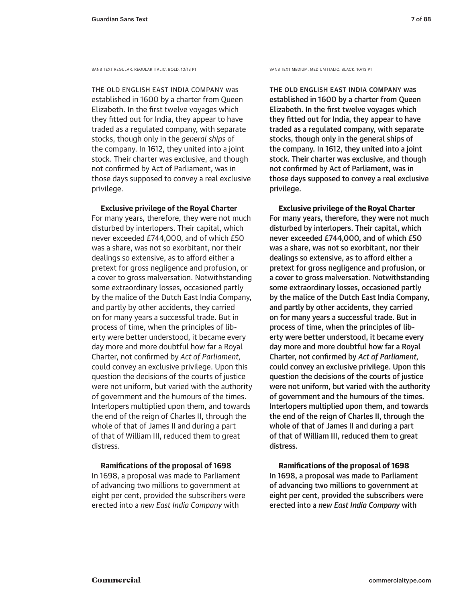SANS TEXT REGULAR, REGULAR ITALIC, BOLD, 10/13 PT SANS TEXT MEDIUM, MEDIUM, MEDIUM ITALIC, BLACK, 10/13 PT

The old English East India Company was established in 1600 by a charter from Queen Elizabeth. In the first twelve voyages which they fitted out for India, they appear to have traded as a regulated company, with separate stocks, though only in the *general ships* of the company. In 1612, they united into a joint stock. Their charter was exclusive, and though not confirmed by Act of Parliament, was in those days supposed to convey a real exclusive privilege.

**Exclusive privilege of the Royal Charter**

For many years, therefore, they were not much disturbed by interlopers. Their capital, which never exceeded £744,000, and of which £50 was a share, was not so exorbitant, nor their dealings so extensive, as to afford either a pretext for gross negligence and profusion, or a cover to gross malversation. Notwithstanding some extraordinary losses, occasioned partly by the malice of the Dutch East India Company, and partly by other accidents, they carried on for many years a successful trade. But in process of time, when the principles of liberty were better understood, it became every day more and more doubtful how far a Royal Charter, not confirmed by *Act of Parliament,* could convey an exclusive privilege. Upon this question the decisions of the courts of justice were not uniform, but varied with the authority of government and the humours of the times. Interlopers multiplied upon them, and towards the end of the reign of Charles II, through the whole of that of James II and during a part of that of William III, reduced them to great distress.

# **Ramifications of the proposal of 1698**

In 1698, a proposal was made to Parliament of advancing two millions to government at eight per cent, provided the subscribers were erected into a *new East India Company* with

The old English East India Company was established in 1600 by a charter from Queen Elizabeth. In the first twelve voyages which they fitted out for India, they appear to have traded as a regulated company, with separate stocks, though only in the general ships of the company. In 1612, they united into a joint stock. Their charter was exclusive, and though not confirmed by Act of Parliament, was in those days supposed to convey a real exclusive privilege.

## Exclusive privilege of the Royal Charter

For many years, therefore, they were not much disturbed by interlopers. Their capital, which never exceeded £744,000, and of which £50 was a share, was not so exorbitant, nor their dealings so extensive, as to afford either a pretext for gross negligence and profusion, or a cover to gross malversation. Notwithstanding some extraordinary losses, occasioned partly by the malice of the Dutch East India Company, and partly by other accidents, they carried on for many years a successful trade. But in process of time, when the principles of liberty were better understood, it became every day more and more doubtful how far a Royal Charter, not confirmed by *Act of Parliament,* could convey an exclusive privilege. Upon this question the decisions of the courts of justice were not uniform, but varied with the authority of government and the humours of the times. Interlopers multiplied upon them, and towards the end of the reign of Charles II, through the whole of that of James II and during a part of that of William III, reduced them to great distress.

## Ramifications of the proposal of 1698

In 1698, a proposal was made to Parliament of advancing two millions to government at eight per cent, provided the subscribers were erected into a *new East India Company* with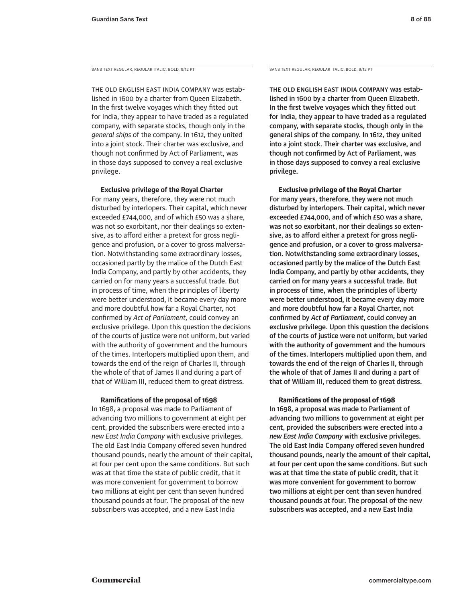SANS TEXT REGULAR, REGULAR ITALIC, BOLD, 9/12 PT SANS TEXT REGULAR, REGULAR, REGULAR ITALIC, BOLD, 9/12 PT

The old English East India Company was established in 1600 by a charter from Queen Elizabeth. In the first twelve voyages which they fitted out for India, they appear to have traded as a regulated company, with separate stocks, though only in the *general ships* of the company. In 1612, they united into a joint stock. Their charter was exclusive, and though not confirmed by Act of Parliament, was in those days supposed to convey a real exclusive privilege.

#### **Exclusive privilege of the Royal Charter**

For many years, therefore, they were not much disturbed by interlopers. Their capital, which never exceeded £744,000, and of which £50 was a share, was not so exorbitant, nor their dealings so extensive, as to afford either a pretext for gross negligence and profusion, or a cover to gross malversation. Notwithstanding some extraordinary losses, occasioned partly by the malice of the Dutch East India Company, and partly by other accidents, they carried on for many years a successful trade. But in process of time, when the principles of liberty were better understood, it became every day more and more doubtful how far a Royal Charter, not confirmed by *Act of Parliament,* could convey an exclusive privilege. Upon this question the decisions of the courts of justice were not uniform, but varied with the authority of government and the humours of the times. Interlopers multiplied upon them, and towards the end of the reign of Charles II, through the whole of that of James II and during a part of that of William III, reduced them to great distress.

### **Ramifications of the proposal of 1698**

In 1698, a proposal was made to Parliament of advancing two millions to government at eight per cent, provided the subscribers were erected into a *new East India Company* with exclusive privileges. The old East India Company offered seven hundred thousand pounds, nearly the amount of their capital, at four per cent upon the same conditions. But such was at that time the state of public credit, that it was more convenient for government to borrow two millions at eight per cent than seven hundred thousand pounds at four. The proposal of the new subscribers was accepted, and a new East India

The old English East India Company was established in 1600 by a charter from Queen Elizabeth. In the first twelve voyages which they fitted out for India, they appear to have traded as a regulated company, with separate stocks, though only in the general ships of the company. In 1612, they united into a joint stock. Their charter was exclusive, and though not confirmed by Act of Parliament, was in those days supposed to convey a real exclusive privilege.

Exclusive privilege of the Royal Charter

For many years, therefore, they were not much disturbed by interlopers. Their capital, which never exceeded £744,000, and of which £50 was a share, was not so exorbitant, nor their dealings so extensive, as to afford either a pretext for gross negligence and profusion, or a cover to gross malversation. Notwithstanding some extraordinary losses, occasioned partly by the malice of the Dutch East India Company, and partly by other accidents, they carried on for many years a successful trade. But in process of time, when the principles of liberty were better understood, it became every day more and more doubtful how far a Royal Charter, not confirmed by *Act of Parliament*, could convey an exclusive privilege. Upon this question the decisions of the courts of justice were not uniform, but varied with the authority of government and the humours of the times. Interlopers multiplied upon them, and towards the end of the reign of Charles II, through the whole of that of James II and during a part of that of William III, reduced them to great distress.

#### Ramifications of the proposal of 1698

In 1698, a proposal was made to Parliament of advancing two millions to government at eight per cent, provided the subscribers were erected into a *new East India Company* with exclusive privileges. The old East India Company offered seven hundred thousand pounds, nearly the amount of their capital, at four per cent upon the same conditions. But such was at that time the state of public credit, that it was more convenient for government to borrow two millions at eight per cent than seven hundred thousand pounds at four. The proposal of the new subscribers was accepted, and a new East India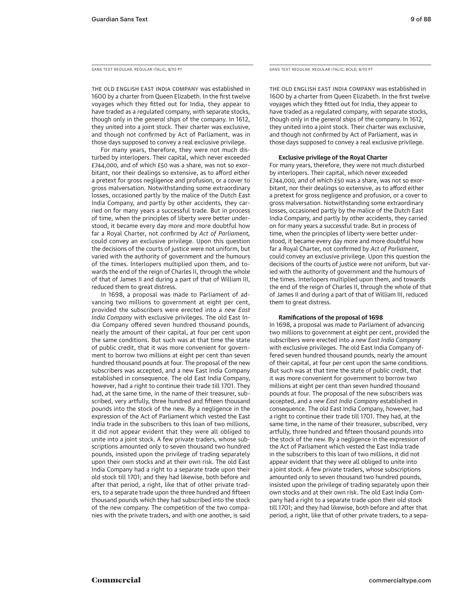The old English East India Company was established in 1600 by a charter from Queen Elizabeth. In the first twelve voyages which they fitted out for India, they appear to have traded as a regulated company, with separate stocks, though only in the *general ships* of the company. In 1612, they united into a joint stock. Their charter was exclusive, and though not confirmed by Act of Parliament, was in those days supposed to convey a real exclusive privilege.

For many years, therefore, they were not much disturbed by interlopers. Their capital, which never exceeded £744,000, and of which £50 was a share, was not so exorbitant, nor their dealings so extensive, as to afford either a pretext for gross negligence and profusion, or a cover to gross malversation. Notwithstanding some extraordinary losses, occasioned partly by the malice of the Dutch East India Company, and partly by other accidents, they carried on for many years a successful trade. But in process of time, when the principles of liberty were better understood, it became every day more and more doubtful how far a Royal Charter, not confirmed by *Act of Parliament,* could convey an exclusive privilege. Upon this question the decisions of the courts of justice were not uniform, but varied with the authority of government and the humours of the times. Interlopers multiplied upon them, and towards the end of the reign of Charles II, through the whole of that of James II and during a part of that of William III, reduced them to great distress.

In 1698, a proposal was made to Parliament of advancing two millions to government at eight per cent, provided the subscribers were erected into a *new East India Company* with exclusive privileges. The old East India Company offered seven hundred thousand pounds, nearly the amount of their capital, at four per cent upon the same conditions. But such was at that time the state of public credit, that it was more convenient for government to borrow two millions at eight per cent than seven hundred thousand pounds at four. The proposal of the new subscribers was accepted, and a new East India Company established in consequence. The old East India Company, however, had a right to continue their trade till 1701. They had, at the same time, in the name of their treasurer, subscribed, very artfully, three hundred and fifteen thousand pounds into the stock of the new. By a negligence in the expression of the Act of Parliament which vested the East India trade in the subscribers to this loan of two millions, it did not appear evident that they were all obliged to unite into a joint stock. A few private traders, whose subscriptions amounted only to seven thousand two hundred pounds, insisted upon the privilege of trading separately upon their own stocks and at their own risk. The old East India Company had a right to a separate trade upon their old stock till 1701; and they had likewise, both before and after that period, a right, like that of other private traders, to a separate trade upon the three hundred and fifteen thousand pounds which they had subscribed into the stock of the new company. The competition of the two companies with the private traders, and with one another, is said

SANS TEXT REGULAR, REGULAR ITALIC, 8/10 PT SANS TEXT REGULAR, REGULAR ITALIC, BOLD, 8/10 PT

The old English East India Company was established in 1600 by a charter from Queen Elizabeth. In the first twelve voyages which they fitted out for India, they appear to have traded as a regulated company, with separate stocks, though only in the *general ships* of the company. In 1612, they united into a joint stock. Their charter was exclusive, and though not confirmed by Act of Parliament, was in those days supposed to convey a real exclusive privilege.

#### **Exclusive privilege of the Royal Charter**

For many years, therefore, they were not much disturbed by interlopers. Their capital, which never exceeded £744,000, and of which £50 was a share, was not so exorbitant, nor their dealings so extensive, as to afford either a pretext for gross negligence and profusion, or a cover to gross malversation. Notwithstanding some extraordinary losses, occasioned partly by the malice of the Dutch East India Company, and partly by other accidents, they carried on for many years a successful trade. But in process of time, when the principles of liberty were better understood, it became every day more and more doubtful how far a Royal Charter, not confirmed by *Act of Parliament*, could convey an exclusive privilege. Upon this question the decisions of the courts of justice were not uniform, but varied with the authority of government and the humours of the times. Interlopers multiplied upon them, and towards the end of the reign of Charles II, through the whole of that of James II and during a part of that of William III, reduced them to great distress.

#### **Ramifications of the proposal of 1698**

In 1698, a proposal was made to Parliament of advancing two millions to government at eight per cent, provided the subscribers were erected into a *new East India Company* with exclusive privileges. The old East India Company offered seven hundred thousand pounds, nearly the amount of their capital, at four per cent upon the same conditions. But such was at that time the state of public credit, that it was more convenient for government to borrow two millions at eight per cent than seven hundred thousand pounds at four. The proposal of the new subscribers was accepted, and a *new East India Company* established in consequence. The old East India Company, however, had a right to continue their trade till 1701. They had, at the same time, in the name of their treasurer, subscribed, very artfully, three hundred and fifteen thousand pounds into the stock of the new. By a negligence in the expression of the Act of Parliament which vested the East India trade in the subscribers to this loan of two millions, it did not appear evident that they were all obliged to unite into a joint stock. A few private traders, whose subscriptions amounted only to seven thousand two hundred pounds, insisted upon the privilege of trading separately upon their own stocks and at their own risk. The old East India Company had a right to a separate trade upon their old stock till 1701; and they had likewise, both before and after that period, a right, like that of other private traders, to a sepa-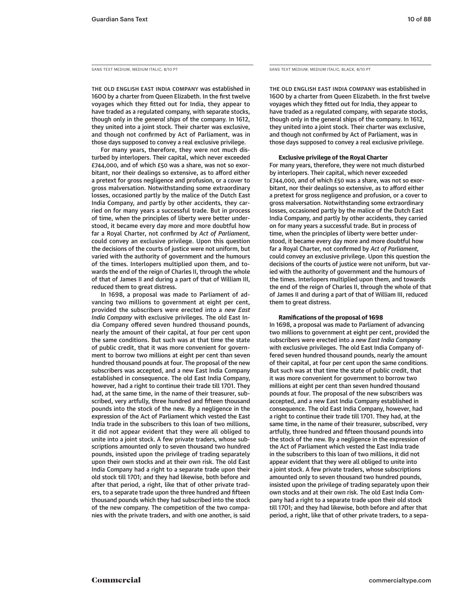The old English East India Company was established in 1600 by a charter from Queen Elizabeth. In the first twelve voyages which they fitted out for India, they appear to have traded as a regulated company, with separate stocks, though only in the *general ships* of the company. In 1612, they united into a joint stock. Their charter was exclusive, and though not confirmed by Act of Parliament, was in those days supposed to convey a real exclusive privilege.

For many years, therefore, they were not much disturbed by interlopers. Their capital, which never exceeded £744,000, and of which £50 was a share, was not so exorbitant, nor their dealings so extensive, as to afford either a pretext for gross negligence and profusion, or a cover to gross malversation. Notwithstanding some extraordinary losses, occasioned partly by the malice of the Dutch East India Company, and partly by other accidents, they carried on for many years a successful trade. But in process of time, when the principles of liberty were better understood, it became every day more and more doubtful how far a Royal Charter, not confirmed by *Act of Parliament,* could convey an exclusive privilege. Upon this question the decisions of the courts of justice were not uniform, but varied with the authority of government and the humours of the times. Interlopers multiplied upon them, and towards the end of the reign of Charles II, through the whole of that of James II and during a part of that of William III, reduced them to great distress.

In 1698, a proposal was made to Parliament of advancing two millions to government at eight per cent, provided the subscribers were erected into a *new East India Company* with exclusive privileges. The old East India Company offered seven hundred thousand pounds, nearly the amount of their capital, at four per cent upon the same conditions. But such was at that time the state of public credit, that it was more convenient for government to borrow two millions at eight per cent than seven hundred thousand pounds at four. The proposal of the new subscribers was accepted, and a new East India Company established in consequence. The old East India Company, however, had a right to continue their trade till 1701. They had, at the same time, in the name of their treasurer, subscribed, very artfully, three hundred and fifteen thousand pounds into the stock of the new. By a negligence in the expression of the Act of Parliament which vested the East India trade in the subscribers to this loan of two millions, it did not appear evident that they were all obliged to unite into a joint stock. A few private traders, whose subscriptions amounted only to seven thousand two hundred pounds, insisted upon the privilege of trading separately upon their own stocks and at their own risk. The old East India Company had a right to a separate trade upon their old stock till 1701; and they had likewise, both before and after that period, a right, like that of other private traders, to a separate trade upon the three hundred and fifteen thousand pounds which they had subscribed into the stock of the new company. The competition of the two companies with the private traders, and with one another, is said

SANS TEXT MEDIUM, MEDIUM ITALIC, 8/10 PT SANS TEXT MEDIUM, MEDIUM ITALIC, BLACK, 8/10 PT

The old English East India Company was established in 1600 by a charter from Queen Elizabeth. In the first twelve voyages which they fitted out for India, they appear to have traded as a regulated company, with separate stocks, though only in the general ships of the company. In 1612, they united into a joint stock. Their charter was exclusive, and though not confirmed by Act of Parliament, was in those days supposed to convey a real exclusive privilege.

#### Exclusive privilege of the Royal Charter

For many years, therefore, they were not much disturbed by interlopers. Their capital, which never exceeded £744,000, and of which £50 was a share, was not so exorbitant, nor their dealings so extensive, as to afford either a pretext for gross negligence and profusion, or a cover to gross malversation. Notwithstanding some extraordinary losses, occasioned partly by the malice of the Dutch East India Company, and partly by other accidents, they carried on for many years a successful trade. But in process of time, when the principles of liberty were better understood, it became every day more and more doubtful how far a Royal Charter, not confirmed by *Act of Parliament,* could convey an exclusive privilege. Upon this question the decisions of the courts of justice were not uniform, but varied with the authority of government and the humours of the times. Interlopers multiplied upon them, and towards the end of the reign of Charles II, through the whole of that of James II and during a part of that of William III, reduced them to great distress.

#### Ramifications of the proposal of 1698

In 1698, a proposal was made to Parliament of advancing two millions to government at eight per cent, provided the subscribers were erected into a *new East India Company*  with exclusive privileges. The old East India Company offered seven hundred thousand pounds, nearly the amount of their capital, at four per cent upon the same conditions. But such was at that time the state of public credit, that it was more convenient for government to borrow two millions at eight per cent than seven hundred thousand pounds at four. The proposal of the new subscribers was accepted, and a new East India Company established in consequence. The old East India Company, however, had a right to continue their trade till 1701. They had, at the same time, in the name of their treasurer, subscribed, very artfully, three hundred and fifteen thousand pounds into the stock of the new. By a negligence in the expression of the Act of Parliament which vested the East India trade in the subscribers to this loan of two millions, it did not appear evident that they were all obliged to unite into a joint stock. A few private traders, whose subscriptions amounted only to seven thousand two hundred pounds, insisted upon the privilege of trading separately upon their own stocks and at their own risk. The old East India Company had a right to a separate trade upon their old stock till 1701; and they had likewise, both before and after that period, a right, like that of other private traders, to a sepa-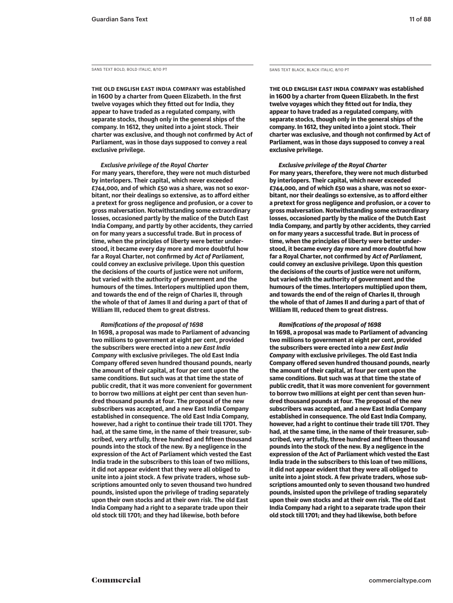**The old English East India Company was established in 1600 by a charter from Queen Elizabeth. In the first twelve voyages which they fitted out for India, they appear to have traded as a regulated company, with separate stocks, though only in the general ships of the company. In 1612, they united into a joint stock. Their charter was exclusive, and though not confirmed by Act of Parliament, was in those days supposed to convey a real exclusive privilege.** 

*Exclusive privilege of the Royal Charter* **For many years, therefore, they were not much disturbed by interlopers. Their capital, which never exceeded £744,000, and of which £50 was a share, was not so exorbitant, nor their dealings so extensive, as to afford either a pretext for gross negligence and profusion, or a cover to gross malversation. Notwithstanding some extraordinary losses, occasioned partly by the malice of the Dutch East India Company, and partly by other accidents, they carried on for many years a successful trade. But in process of time, when the principles of liberty were better understood, it became every day more and more doubtful how far a Royal Charter, not confirmed by** *Act of Parliament,* **could convey an exclusive privilege. Upon this question the decisions of the courts of justice were not uniform, but varied with the authority of government and the humours of the times. Interlopers multiplied upon them, and towards the end of the reign of Charles II, through the whole of that of James II and during a part of that of William III, reduced them to great distress.** 

#### *Ramifications of the proposal of 1698*

**In 1698, a proposal was made to Parliament of advancing two millions to government at eight per cent, provided the subscribers were erected into a** *new East India Company* **with exclusive privileges. The old East India Company offered seven hundred thousand pounds, nearly the amount of their capital, at four per cent upon the same conditions. But such was at that time the state of public credit, that it was more convenient for government to borrow two millions at eight per cent than seven hundred thousand pounds at four. The proposal of the new subscribers was accepted, and a new East India Company established in consequence. The old East India Company, however, had a right to continue their trade till 1701. They had, at the same time, in the name of their treasurer, subscribed, very artfully, three hundred and fifteen thousand pounds into the stock of the new. By a negligence in the expression of the Act of Parliament which vested the East India trade in the subscribers to this loan of two millions, it did not appear evident that they were all obliged to unite into a joint stock. A few private traders, whose subscriptions amounted only to seven thousand two hundred pounds, insisted upon the privilege of trading separately upon their own stocks and at their own risk. The old East India Company had a right to a separate trade upon their old stock till 1701; and they had likewise, both before** 

SANS TEXT BOLD, BOLD ITALIC, 8/10 PT SANS TEXT BLACK, BLACK ITALIC, 8/10 PT

The old English East India Company was established in 1600 by a charter from Queen Elizabeth. In the first twelve voyages which they fitted out for India, they appear to have traded as a regulated company, with separate stocks, though only in the general ships of the company. In 1612, they united into a joint stock. Their charter was exclusive, and though not confirmed by Act of Parliament, was in those days supposed to convey a real exclusive privilege.

*Exclusive privilege of the Royal Charter* For many years, therefore, they were not much disturbed by interlopers. Their capital, which never exceeded £744,000, and of which £50 was a share, was not so exorbitant, nor their dealings so extensive, as to afford either a pretext for gross negligence and profusion, or a cover to gross malversation. Notwithstanding some extraordinary losses, occasioned partly by the malice of the Dutch East India Company, and partly by other accidents, they carried on for many years a successful trade. But in process of time, when the principles of liberty were better understood, it became every day more and more doubtful how far a Royal Charter, not confirmed by *Act of Parliament,* could convey an exclusive privilege. Upon this question the decisions of the courts of justice were not uniform, but varied with the authority of government and the humours of the times. Interlopers multiplied upon them, and towards the end of the reign of Charles II, through the whole of that of James II and during a part of that of William III, reduced them to great distress.

#### *Ramifications of the proposal of 1698*

In 1698, a proposal was made to Parliament of advancing two millions to government at eight per cent, provided the subscribers were erected into a *new East India Company* with exclusive privileges. The old East India Company offered seven hundred thousand pounds, nearly the amount of their capital, at four per cent upon the same conditions. But such was at that time the state of public credit, that it was more convenient for government to borrow two millions at eight per cent than seven hundred thousand pounds at four. The proposal of the new subscribers was accepted, and a new East India Company established in consequence. The old East India Company, however, had a right to continue their trade till 1701. They had, at the same time, in the name of their treasurer, subscribed, very artfully, three hundred and fifteen thousand pounds into the stock of the new. By a negligence in the expression of the Act of Parliament which vested the East India trade in the subscribers to this loan of two millions, it did not appear evident that they were all obliged to unite into a joint stock. A few private traders, whose subscriptions amounted only to seven thousand two hundred pounds, insisted upon the privilege of trading separately upon their own stocks and at their own risk. The old East India Company had a right to a separate trade upon their old stock till 1701; and they had likewise, both before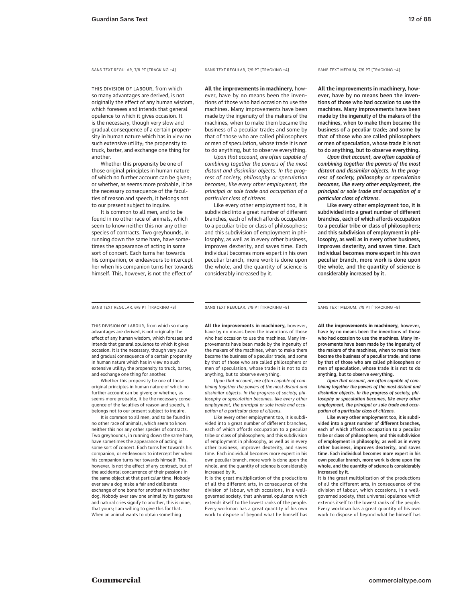SANS TEXT REGULAR, 7/9 PT [TRACKING +4] SANS TEXT REGULAR, 7/9 PT [TRACKING +4] SANS TEXT MEDIUM, 7/9 PT [TRACKING +4]

THIS DIVISION OF LABOUR, from which so many advantages are derived, is not originally the effect of any human wisdom, which foresees and intends that general opulence to which it gives occasion. It is the necessary, though very slow and gradual consequence of a certain propensity in human nature which has in view no such extensive utility; the propensity to truck, barter, and exchange one thing for another.

Whether this propensity be one of those original principles in human nature of which no further account can be given; or whether, as seems more probable, it be the necessary consequence of the faculties of reason and speech, it belongs not to our present subject to inquire.

It is common to all men, and to be found in no other race of animals, which seem to know neither this nor any other species of contracts. Two greyhounds, in running down the same hare, have sometimes the appearance of acting in some sort of concert. Each turns her towards his companion, or endeavours to intercept her when his companion turns her towards himself. This, however, is not the effect of

**All the improvements in machinery,** how-

ever, have by no means been the inventions of those who had occasion to use the machines. Many improvements have been made by the ingenuity of the makers of the machines, when to make them became the business of a peculiar trade; and some by that of those who are called philosophers or men of speculation, whose trade it is not to do anything, but to observe everything.

*Upon that account, are often capable of combining together the powers of the most distant and dissimilar objects. In the progress of society, philosophy or speculation becomes, like every other employment, the principal or sole trade and occupation of a particular class of citizens.* 

Like every other employment too, it is subdivided into a great number of different branches, each of which affords occupation to a peculiar tribe or class of philosophers; and this subdivision of employment in philosophy, as well as in every other business, improves dexterity, and saves time. Each individual becomes more expert in his own peculiar branch, more work is done upon the whole, and the quantity of science is considerably increased by it.

**All the improvements in machinery,** however, have by no means been the inventions of those who had occasion to use the machines. Many improvements have been made by the ingenuity of the makers of the machines, when to make them became the business of a peculiar trade; and some by that of those who are called philosophers or men of speculation, whose trade it is not to do anything, but to observe everything.

*Upon that account, are often capable of combining together the powers of the most distant and dissimilar objects. In the progress of society, philosophy or speculation becomes, like every other employment, the principal or sole trade and occupation of a particular class of citizens.* 

Like every other employment too, it is subdivided into a great number of different branches, each of which affords occupation to a peculiar tribe or class of philosophers; and this subdivision of employment in philosophy, as well as in every other business, improves dexterity, and saves time. Each individual becomes more expert in his own peculiar branch, more work is done upon the whole, and the quantity of science is considerably increased by it.

SANS TEXT REGULAR, 6/8 PT [TRACKING +8] SANS TEXT REGULAR, 7/9 PT [TRACKING +8] SANS TEXT MEDIUM, 7/9 PT [TRACKING +8]

THIS DIVISION OF LABOUR, from which so many advantages are derived, is not originally the effect of any human wisdom, which foresees and intends that general opulence to which it gives occasion. It is the necessary, though very slow and gradual consequence of a certain propensity in human nature which has in view no such extensive utility; the propensity to truck, barter, and exchange one thing for another.

Whether this propensity be one of those original principles in human nature of which no further account can be given; or whether, as seems more probable, it be the necessary consequence of the faculties of reason and speech, it belongs not to our present subject to inquire.

It is common to all men, and to be found in no other race of animals, which seem to know neither this nor any other species of contracts. Two greyhounds, in running down the same hare, have sometimes the appearance of acting in some sort of concert. Each turns her towards his companion, or endeavours to intercept her when his companion turns her towards himself. This, however, is not the effect of any contract, but of the accidental concurrence of their passions in the same object at that particular time. Nobody ever saw a dog make a fair and deliberate exchange of one bone for another with another dog. Nobody ever saw one animal by its gestures and natural cries signify to another, this is mine, that yours; I am willing to give this for that. When an animal wants to obtain something

**All the improvements in machinery,** however, have by no means been the inventions of those who had occasion to use the machines. Many improvements have been made by the ingenuity of the makers of the machines, when to make them became the business of a peculiar trade; and some by that of those who are called philosophers or men of speculation, whose trade it is not to do

anything, but to observe everything. *Upon that account, are often capable of combining together the powers of the most distant and dissimilar objects. In the progress of society, philosophy or speculation becomes, like every other employment, the principal or sole trade and occupation of a particular class of citizens.* 

Like every other employment too, it is subdivided into a great number of different branches, each of which affords occupation to a peculiar tribe or class of philosophers; and this subdivision of employment in philosophy, as well as in every other business, improves dexterity, and saves time. Each individual becomes more expert in his own peculiar branch, more work is done upon the whole, and the quantity of science is considerably increased by it.

It is the great multiplication of the productions of all the different arts, in consequence of the division of labour, which occasions, in a wellgoverned society, that universal opulence which extends itself to the lowest ranks of the people. Every workman has a great quantity of his own work to dispose of beyond what he himself has

All the improvements in machinery, however, have by no means been the inventions of those who had occasion to use the machines. Many improvements have been made by the ingenuity of the makers of the machines, when to make them became the business of a peculiar trade; and some by that of those who are called philosophers or men of speculation, whose trade it is not to do anything, but to observe everything.

*Upon that account, are often capable of combining together the powers of the most distant and dissimilar objects. In the progress of society, philosophy or speculation becomes, like every other employment, the principal or sole trade and occupation of a particular class of citizens.* 

Like every other employment too, it is subdivided into a great number of different branches, each of which affords occupation to a peculiar tribe or class of philosophers; and this subdivision of employment in philosophy, as well as in every other business, improves dexterity, and saves time. Each individual becomes more expert in his own peculiar branch, more work is done upon the whole, and the quantity of science is considerably increased by it.

It is the great multiplication of the productions of all the different arts, in consequence of the division of labour, which occasions, in a wellgoverned society, that universal opulence which extends itself to the lowest ranks of the people. Every workman has a great quantity of his own work to dispose of beyond what he himself has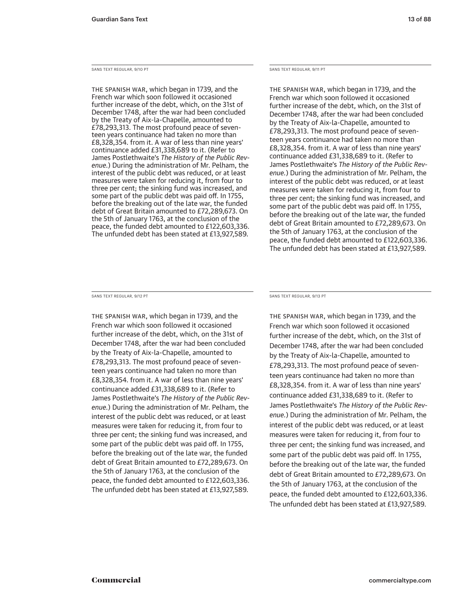SANS TEXT REGULAR, 9/10 PT SANS TEXT REGULAR, 9/11 PT

The Spanish war, which began in 1739, and the French war which soon followed it occasioned further increase of the debt, which, on the 31st of December 1748, after the war had been concluded by the Treaty of Aix-la-Chapelle, amounted to £78,293,313. The most profound peace of seventeen years continuance had taken no more than £8,328,354. from it. A war of less than nine years' continuance added £31,338,689 to it. (Refer to James Postlethwaite's *The History of the Public Revenue.*) During the administration of Mr. Pelham, the interest of the public debt was reduced, or at least measures were taken for reducing it, from four to three per cent; the sinking fund was increased, and some part of the public debt was paid off. In 1755, before the breaking out of the late war, the funded debt of Great Britain amounted to £72,289,673. On the 5th of January 1763, at the conclusion of the peace, the funded debt amounted to £122,603,336. The unfunded debt has been stated at £13,927,589.

The Spanish war, which began in 1739, and the French war which soon followed it occasioned further increase of the debt, which, on the 31st of December 1748, after the war had been concluded by the Treaty of Aix-la-Chapelle, amounted to £78,293,313. The most profound peace of seventeen years continuance had taken no more than £8,328,354. from it. A war of less than nine years' continuance added £31,338,689 to it. (Refer to James Postlethwaite's *The History of the Public Revenue.*) During the administration of Mr. Pelham, the interest of the public debt was reduced, or at least measures were taken for reducing it, from four to three per cent; the sinking fund was increased, and some part of the public debt was paid off. In 1755, before the breaking out of the late war, the funded debt of Great Britain amounted to £72,289,673. On the 5th of January 1763, at the conclusion of the peace, the funded debt amounted to £122,603,336. The unfunded debt has been stated at £13,927,589.

The Spanish war, which began in 1739, and the French war which soon followed it occasioned further increase of the debt, which, on the 31st of December 1748, after the war had been concluded by the Treaty of Aix-la-Chapelle, amounted to £78,293,313. The most profound peace of seventeen years continuance had taken no more than £8,328,354. from it. A war of less than nine years' continuance added £31,338,689 to it. (Refer to James Postlethwaite's *The History of the Public Revenue.*) During the administration of Mr. Pelham, the interest of the public debt was reduced, or at least measures were taken for reducing it, from four to three per cent; the sinking fund was increased, and some part of the public debt was paid off. In 1755, before the breaking out of the late war, the funded debt of Great Britain amounted to £72,289,673. On the 5th of January 1763, at the conclusion of the peace, the funded debt amounted to £122,603,336. The unfunded debt has been stated at £13,927,589.

SANS TEXT REGULAR, 9/12 PT SANS TEXT REGULAR, 9/13 PT

The Spanish war, which began in 1739, and the French war which soon followed it occasioned further increase of the debt, which, on the 31st of December 1748, after the war had been concluded by the Treaty of Aix-la-Chapelle, amounted to £78,293,313. The most profound peace of seventeen years continuance had taken no more than £8,328,354. from it. A war of less than nine years' continuance added £31,338,689 to it. (Refer to James Postlethwaite's *The History of the Public Revenue.*) During the administration of Mr. Pelham, the interest of the public debt was reduced, or at least measures were taken for reducing it, from four to three per cent; the sinking fund was increased, and some part of the public debt was paid off. In 1755, before the breaking out of the late war, the funded debt of Great Britain amounted to £72,289,673. On the 5th of January 1763, at the conclusion of the peace, the funded debt amounted to £122,603,336. The unfunded debt has been stated at £13,927,589.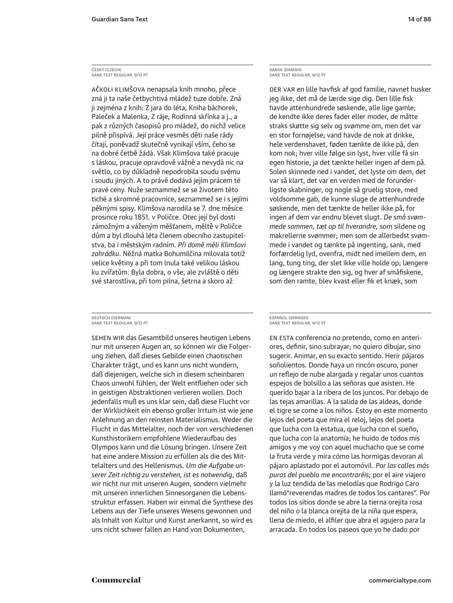#### ČESKÝ (CZECH) SANS TEXT REGULAR, 9/12 PT

ačkoli klimšova nenapsala knih mnoho, přece zná ji ta naše četbychtivá mládež tuze dobře. Zná ji zejména z knih: Z jara do léta, Kniha báchorek, Paleček a Malenka, Z ráje, Rodinná skřínka a j., a pak z různých časopisů pro mládež, do nichž velice pilně přispívá. Její práce vesměs děti naše rády čítají, poněvadž skutečně vynikají vším, čeho se na dobré četbě žádá. Však Klimšova také pracuje s láskou, pracuje opravdově vážně a nevydá nic na světlo, co by důkladně nepodrobila soudu svému i soudu jiných. A to právě dodává jejím prácem té pravé ceny. Nuže seznammež se se životem této tiché a skromné pracovnice, seznammež se i s jejími pěknými spisy. Klimšova narodila se 7. dne měsíce prosince roku 1851. v Poličce. Otec její byl dosti zámožným a váženým měšťanem, měltě v Poličce dům a byl dlouhá léta členem obecního zastupitelstva, ba i městským radním. *Při domě měli Klimšovi zahrádku*. Něžná matka Bohumilčina milovala totiž velice květiny a při tom lnula také velikou láskou ku zvířatům. Byla dobra, o vše, ale zvláště o děti své starostliva, při tom pilna, šetrna a skoro až

DEUTSCH (GERMAN) SANS TEXT REGULAR, 9/12 PT

Sehen wir das Gesamtbild unseres heutigen Lebens nur mit unseren Augen an, so können wir die Folgerung ziehen, daß dieses Gebilde einen chaotischen Charakter trägt, und es kann uns nicht wundern, daß diejenigen, welche sich in diesem scheinbaren Chaos unwohl fühlen, der Welt entfliehen oder sich in geistigen Abstraktionen verlieren wollen. Doch jedenfalls muß es uns klar sein, daß diese Flucht vor der Wirklichkeit ein ebenso großer Irrtum ist wie jene Anlehnung an den reinsten Materialismus. Weder die Flucht in das Mittelalter, noch der von verschiedenen Kunsthistorikern empfohlene Wiederaufbau des Olympos kann und die Lösung bringen. Unsere Zeit hat eine andere Mission zu erfüllen als die des Mittelalters und des Hellenismus. *Um die Aufgabe unserer Zeit richtig zu verstehen, ist es notwendig*, daß wir nicht nur mit unseren Augen, sondern vielmehr mit unseren innerlichen Sinnesorganen die Lebensstruktur erfassen. Haben wir einmal die Synthese des Lebens aus der Tiefe unseres Wesens gewonnen und als Inhalt von Kultur und Kunst anerkannt, so wird es uns nicht schwer fallen an Hand von Dokumenten,

DANSK (DANISH) SANS TEXT REGULAR, 9/12 PT

Der var en lille havfisk af god familie, navnet husker jeg ikke, det må de lærde sige dig. Den lille fisk havde attenhundrede søskende, alle lige gamle; de kendte ikke deres fader eller moder, de måtte straks skøtte sig selv og svømme om, men det var en stor fornøjelse; vand havde de nok at drikke, hele verdenshavet, føden tænkte de ikke på, den kom nok; hver ville følge sin lyst, hver ville få sin egen historie, ja det tænkte heller ingen af dem på. Solen skinnede ned i vandet, det lyste om dem, det var så klart, det var en verden med de forunderligste skabninger, og nogle så gruelig store, med voldsomme gab, de kunne sluge de attenhundrede søskende, men det tænkte de heller ikke på, for ingen af dem var endnu blevet slugt. *De små svømmede sammen, tæt op til hverandre,* som sildene og makrellerne svømmer; men som de allerbedst svømmede i vandet og tænkte på ingenting, sank, med forfærdelig lyd, ovenfra, midt ned imellem dem, en lang, tung ting, der slet ikke ville holde op; længere og længere strakte den sig, og hver af småfiskene, som den ramte, blev kvast eller fik et knæk, som

ESPAÑOL (SPANISH) SANS TEXT REGULAR, 9/12 PT

En esta conferencia no pretendo, como en anteriores, definir, sino subrayar; no quiero dibujar, sino sugerir. Animar, en su exacto sentido. Herir pájaros soñolientos. Donde haya un rincón oscuro, poner un reflejo de nube alargada y regalar unos cuantos espejos de bolsillo a las señoras que asisten. He querido bajar a la ribera de los juncos. Por debajo de las tejas amarillas. A la salida de las aldeas, donde el tigre se come a los niños. Estoy en este momento lejos del poeta que mira el reloj, lejos del poeta que lucha con la estatua, que lucha con el sueño, que lucha con la anatomía; he huido de todos mis amigos y me voy con aquel muchacho que se come la fruta verde y mira cómo las hormigas devoran al pájaro aplastado por el automóvil. *Por las calles más puras del pueblo me encontraréis;* por el aire viajero y la luz tendida de las melodías que Rodrigo Caro llamó"reverendas madres de todos los cantares". Por todos los sitios donde se abre la tierna orejita rosa del niño o la blanca orejita de la niña que espera, llena de miedo, el alfiler que abra el agujero para la arracada. En todos los paseos que yo he dado por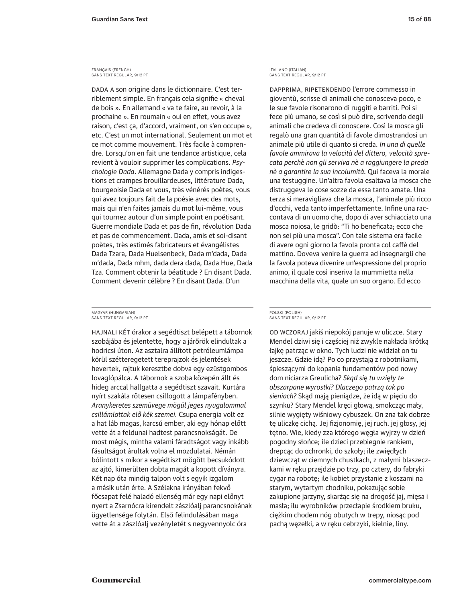#### FRANÇAIS (FRENCH) SANS TEXT REGULAR, 9/12 PT

DADA A son origine dans le dictionnaire. C'est terriblement simple. En français cela signifie « cheval de bois ». En allemand « va te faire, au revoir, à la prochaine ». En roumain « oui en effet, vous avez raison, c'est ça, d'accord, vraiment, on s'en occupe », etc. C'est un mot international. Seulement un mot et ce mot comme mouvement. Très facile à comprendre. Lorsqu'on en fait une tendance artistique, cela revient à vouloir supprimer les complications. *Psychologie Dada*. Allemagne Dada y compris indigestions et crampes brouillardeuses, littérature Dada, bourgeoisie Dada et vous, très vénérés poètes, vous qui avez toujours fait de la poésie avec des mots, mais qui n'en faites jamais du mot lui-même, vous qui tournez autour d'un simple point en poétisant. Guerre mondiale Dada et pas de fin, révolution Dada et pas de commencement. Dada, amis et soi-disant poètes, très estimés fabricateurs et évangélistes Dada Tzara, Dada Huelsenbeck, Dada m'dada, Dada m'dada, Dada mhm, dada dera dada, Dada Hue, Dada Tza. Comment obtenir la béatitude ? En disant Dada. Comment devenir célèbre ? En disant Dada. D'un

#### MAGYAR (HUNGARIAN) SANS TEXT REGULAR, 9/12 PT

Hajnali két órakor a segédtiszt belépett a tábornok szobájába és jelentette, hogy a járőrök elindultak a hodricsi úton. Az asztalra állított petróleumlámpa körül szétteregetett tereprajzok és jelentések hevertek, rajtuk keresztbe dobva egy ezüstgombos lovaglópálca. A tábornok a szoba közepén állt és hideg arccal hallgatta a segédtiszt szavait. Kurtára nyírt szakála rőtesen csillogott a lámpafényben. *Aranykeretes szemüvege mögül jeges nyugalommal csillámlottak elő kék szemei.* Csupa energia volt ez a hat láb magas, karcsú ember, aki egy hónap előtt vette át a feldunai hadtest parancsnokságát. De most mégis, mintha valami fáradtságot vagy inkább fásultságot árultak volna el mozdulatai. Némán bólintott s mikor a segédtiszt mögött becsukódott az ajtó, kimerülten dobta magát a kopott díványra. Két nap óta mindig talpon volt s egyik izgalom a másik után érte. A Szélakna irányában fekvő főcsapat felé haladó ellenség már egy napi előnyt nyert a Zsarnócra kirendelt zászlóalj parancsnokának ügyetlensége folytán. Első felindulásában maga vette át a zászlóalj vezényletét s negyvennyolc óra

ITALIANO (ITALIAN) SANS TEXT REGULAR, 9/12 PT

Dapprima, ripetendendo l'errore commesso in gioventù, scrisse di animali che conosceva poco, e le sue favole risonarono di ruggiti e barriti. Poi si fece più umano, se così si può dire, scrivendo degli animali che credeva di conoscere. Così la mosca gli regalò una gran quantità di favole dimostrandosi un animale più utile di quanto si creda. *In una di quelle favole ammirava la velocità del dittero, velocità sprecata perchè non gli serviva nè a raggiungere la preda nè a garantire la sua incolumità.* Qui faceva la morale una testuggine. Un'altra favola esaltava la mosca che distruggeva le cose sozze da essa tanto amate. Una terza si meravigliava che la mosca, l'animale più ricco d'occhi, veda tanto imperfettamente. Infine una raccontava di un uomo che, dopo di aver schiacciato una mosca noiosa, le gridò: "Ti ho beneficata; ecco che non sei più una mosca". Con tale sistema era facile di avere ogni giorno la favola pronta col caffè del mattino. Doveva venire la guerra ad insegnargli che la favola poteva divenire un'espressione del proprio animo, il quale così inseriva la mummietta nella macchina della vita, quale un suo organo. Ed ecco

#### POLSKI (POLISH) SANS TEXT REGULAR, 9/12 PT

od wczoraj jakiś niepokój panuje w uliczce. Stary Mendel dziwi się i częściej niż zwykle nakłada krótką łajkę patrząc w okno. Tych ludzi nie widział on tu jeszcze. Gdzie idą? Po co przystają z robotnikami, śpieszącymi do kopania fundamentów pod nowy dom niciarza Greulicha? *Skąd się tu wzięły te obszarpane wyrostki? Dlaczego patrzą tak po sieniach?* Skąd mają pieniądze, że idą w pięciu do szynku? Stary Mendel kręci głową, smokcząc mały, silnie wygięty wiśniowy cybuszek. On zna tak dobrze tę uliczkę cichą. Jej fizjonomię, jej ruch. jej głosy, jej tętno. Wie, kiedy zza którego węgła wyjrzy w dzień pogodny słońce; ile dzieci przebiegnie rankiem, drepcąc do ochronki, do szkoły; ile zwiędłych dziewcząt w ciemnych chustkach, z małymi blaszeczkami w ręku przejdzie po trzy, po cztery, do fabryki cygar na robotę; ile kobiet przystanie z koszami na starym, wytartym chodniku, pokazując sobie zakupione jarzyny, skarżąc się na drogość jaj, mięsa i masła; ilu wyrobników przecłapie środkiem bruku, ciężkim chodem nóg obutych w trepy, niosąc pod pachą węzełki, a w ręku cebrzyki, kielnie, liny.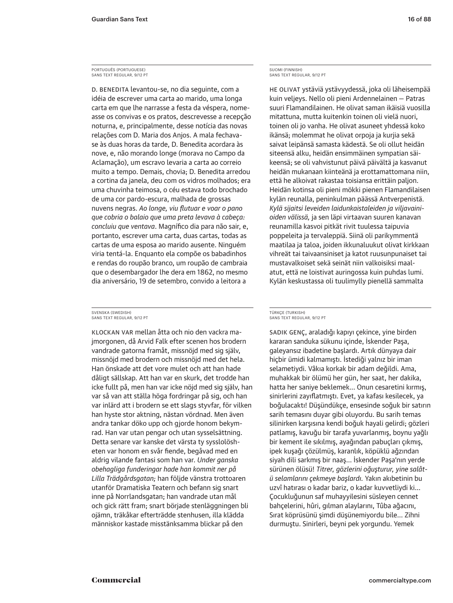#### PORTUGUÊS (PORTUGUESE) SANS TEXT REGULAR, 9/12 PT

D. Benedita levantou-se, no dia seguinte, com a idéia de escrever uma carta ao marido, uma longa carta em que lhe narrasse a festa da véspera, nomeasse os convivas e os pratos, descrevesse a recepção noturna, e, principalmente, desse notícia das novas relações com D. Maria dos Anjos. A mala fechavase às duas horas da tarde, D. Benedita acordara às nove, e, não morando longe (morava no Campo da Aclamação), um escravo levaria a carta ao correio muito a tempo. Demais, chovia; D. Benedita arredou a cortina da janela, deu com os vidros molhados; era uma chuvinha teimosa, o céu estava todo brochado de uma cor pardo-escura, malhada de grossas nuvens negras. *Ao longe, viu flutuar e voar o pano que cobria o balaio que uma preta levava à cabeça: concluiu que ventava*. Magnífico dia para não sair, e, portanto, escrever uma carta, duas cartas, todas as cartas de uma esposa ao marido ausente. Ninguém viria tentá-la. Enquanto ela compõe os babadinhos e rendas do roupão branco, um roupão de cambraia que o desembargador lhe dera em 1862, no mesmo dia aniversário, 19 de setembro, convido a leitora a

SVENSKA (SWEDISH) SANS TEXT REGULAR, 9/12 PT

Klockan var mellan åtta och nio den vackra majmorgonen, då Arvid Falk efter scenen hos brodern vandrade gatorna framåt, missnöjd med sig själv, missnöjd med brodern och missnöjd med det hela. Han önskade att det vore mulet och att han hade dåligt sällskap. Att han var en skurk, det trodde han icke fullt på, men han var icke nöjd med sig själv, han var så van att ställa höga fordringar på sig, och han var inlärd att i brodern se ett slags styvfar, för vilken han hyste stor aktning, nästan vördnad. Men även andra tankar döko upp och gjorde honom bekymrad. Han var utan pengar och utan sysselsättning. Detta senare var kanske det värsta ty sysslolösheten var honom en svår fiende, begåvad med en aldrig vilande fantasi som han var. *Under ganska obehagliga funderingar hade han kommit ner på Lilla Trädgårdsgatan;* han följde vänstra trottoaren utanför Dramatiska Teatern och befann sig snart inne på Norrlandsgatan; han vandrade utan mål och gick rätt fram; snart började stenläggningen bli ojämn, träkåkar efterträdde stenhusen, illa klädda människor kastade misstänksamma blickar på den

SUOMI (FINNISH) SANS TEXT REGULAR, 9/12 PT

He olivat ystäviä ystävyydessä, joka oli läheisempää kuin veljeys. Nello oli pieni Ardennelainen — Patras suuri Flamandilainen. He olivat saman ikäisiä vuosilla mitattuna, mutta kuitenkin toinen oli vielä nuori, toinen oli jo vanha. He olivat asuneet yhdessä koko ikänsä; molemmat he olivat orpoja ja kurjia sekä saivat leipänsä samasta kädestä. Se oli ollut heidän siteensä alku, heidän ensimmäinen sympatian säikeensä; se oli vahvistunut päivä päivältä ja kasvanut heidän mukanaan kiinteänä ja erottamattomana niin, että he alkoivat rakastaa toisiansa erittäin paljon. Heidän kotinsa oli pieni mökki pienen Flamandilaisen kylän reunalla, peninkulman päässä Antverpenistä. *Kylä sijaitsi leveiden laidunkaistaleiden ja viljavainioiden välissä,* ja sen läpi virtaavan suuren kanavan reunamilla kasvoi pitkät rivit tuulessa taipuvia poppeleita ja tervaleppiä. Siinä oli parikymmentä maatilaa ja taloa, joiden ikkunaluukut olivat kirkkaan vihreät tai taivaansiniset ja katot ruusunpunaiset tai mustavalkoiset sekä seinät niin valkoisiksi maalatut, että ne loistivat auringossa kuin puhdas lumi. Kylän keskustassa oli tuulimylly pienellä sammalta

#### TÜRKÇE (TURKISH) SANS TEXT REGULAR, 9/12 PT

Sadık genç, araladığı kapıyı çekince, yine birden kararan sanduka sükunu içinde, İskender Paşa, galeyansız ibadetine başlardı. Artık dünyaya dair hiçbir ümidi kalmamıştı. İstediği yalnız bir iman selametiydi. Vâkıa korkak bir adam değildi. Ama, muhakkak bir ölümü her gün, her saat, her dakika, hatta her saniye beklemek… Onun cesaretini kırmış, sinirlerini zayıflatmıştı. Evet, ya kafası kesilecek, ya boğulacaktı! Düşündükçe, ensesinde soğuk bir satırın sarih temasını duyar gibi oluyordu. Bu sarih temas silinirken karşısına kendi boğuk hayali gelirdi; gözleri patlamış, kavuğu bir tarafa yuvarlanmış, boynu yağlı bir kement ile sıkılmış, ayağından pabuçları çıkmış, ipek kuşağı çözülmüş, karanlık, köpüklü ağzından siyah dili sarkmış bir naaş… İskender Paşa'nın yerde sürünen ölüsü! *Titrer, gözlerini oğuşturur, yine salâtü selamlarını çekmeye başlardı.* Yakın akıbetinin bu uzvî hatırası o kadar bariz, o kadar kuvvetliydi ki… Çocukluğunun saf muhayyilesini süsleyen cennet bahçelerini, hûri, gılman alaylarını, Tûba ağacını, Sırat köprüsünü şimdi düşünemiyordu bile… Zihni durmuştu. Sinirleri, beyni pek yorgundu. Yemek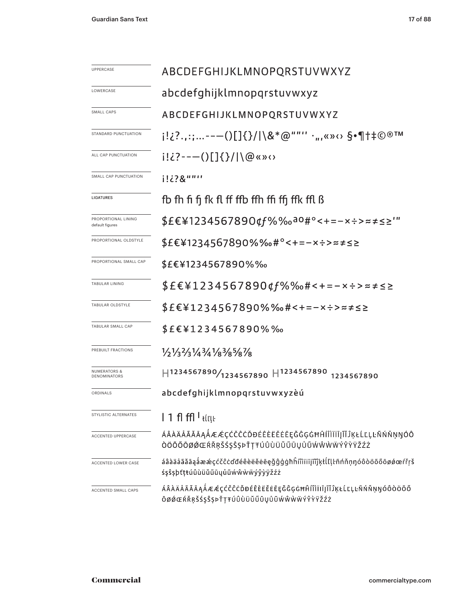| UPPERCASE                                      | ABCDEFGHIJKLMNOPQRSTUVWXYZ                                                                                            |  |  |  |
|------------------------------------------------|-----------------------------------------------------------------------------------------------------------------------|--|--|--|
| LOWERCASE                                      | abcdefghijklmnopqrstuvwxyz                                                                                            |  |  |  |
| SMALL CAPS                                     | ABCDEFGHIJKLMNOPQRSTUVWXYZ                                                                                            |  |  |  |
| STANDARD PUNCTUATION                           | i!¿?.,:;--—()[]{}/ \&*@""'' ·",«»⇔ §•¶†‡©®™                                                                           |  |  |  |
| ALL CAP PUNCTUATION                            | $i! \dot{c}$ ?---()[]{}/ \@«»<>                                                                                       |  |  |  |
| SMALL CAP PUNCTUATION                          | i!¿?&""''                                                                                                             |  |  |  |
| LIGATURES                                      | fb fh fi fi fk fl ff ffb ffh ffi ffj ffk ffl ß                                                                        |  |  |  |
| PROPORTIONAL LINING<br>default figures         | \$£€\1234567890¢f%‰ª°<+=-x÷>≈≠≤≥'"                                                                                    |  |  |  |
| PROPORTIONAL OLDSTYLE                          | \$£€¥1234567890%‰#°<+=-×÷>≈≠≤≥                                                                                        |  |  |  |
| PROPORTIONAL SMALL CAP                         | \$£€¥1234567890%‰                                                                                                     |  |  |  |
| TABULAR LINING                                 | \$£€¥1234567890¢f%‰#<+=-×÷>≈≠≤≥                                                                                       |  |  |  |
| TABULAR OLDSTYLE                               | \$£€¥1234567890%‰#<+=-×÷>≈≠≤≥                                                                                         |  |  |  |
| TABULAR SMALL CAP                              | \$£€¥1234567890%‰                                                                                                     |  |  |  |
| PREBUILT FRACTIONS                             | 1/2/3 <sup>2</sup> /3 <sup>1</sup> /4 <sup>3</sup> /4 <sup>1</sup> /8 <sup>3</sup> /8 <sup>5</sup> /8 <sup>7</sup> /8 |  |  |  |
| <b>NUMERATORS &amp;</b><br><b>DENOMINATORS</b> | $H$ 1234567890/ <sub>1234567890</sub> $H$ <sup>1234567890</sup><br>1234567890                                         |  |  |  |
| ORDINALS                                       | abcdefghijklmnopqrstuvwxyzèú                                                                                          |  |  |  |
| STYLISTIC ALTERNATES                           | $1$ 1 fl ffl $^1$ tír $\mu$                                                                                           |  |  |  |
| ACCENTED UPPERCASE                             | ÁÂÀÄÅÃĂĀĄÅÆÆÇĆČĈĊĎĐÉÊÈËĔĖĒĘĞĜĢĠĦĤÍÎÌÏİĮĨĬĴĶŁĹĽĻĿÑŃŇŅŊÓÔ<br>ÒÖÕŐŌØØŒŔŘŖŠŚŞŜŞÞŤŢŦÚÛÙÜŬŰŪŲŮŨŴŴŴŴÝŶŶŸŽŹŻ                  |  |  |  |
| ACCENTED LOWER CASE                            | áâàäåãăāąåææçćčĉċďđéêèëěeēęğĝġġħĥíîìïiīįĩĭĵkłĺľḷŀñńňņŋóôòöõőōøøœŕřŗš<br>śşŝṣþťṭŧúûùüŭűūųůũẃŵẁẅýŷỳÿžźż                 |  |  |  |
| ACCENTED SMALL CAPS                            | ÁÂÀÄÅÃĂĀĄÅÆÆÇĆČĈĊĎĐÉÊÈËĖĒĘĞĜĢĠĦĤÍÎÌÏĪĮĨĬĴĶŁĹĽĻĿÑŃŇŅŊÓÔÒÖÕŐ<br>ŌØØŒŔŘŖŠŚŞŜȘÞŤŢŦÚÛÙÜŬŰŪŲŮŨŴŴŴŴÝŶŸŸŽŹŻ                   |  |  |  |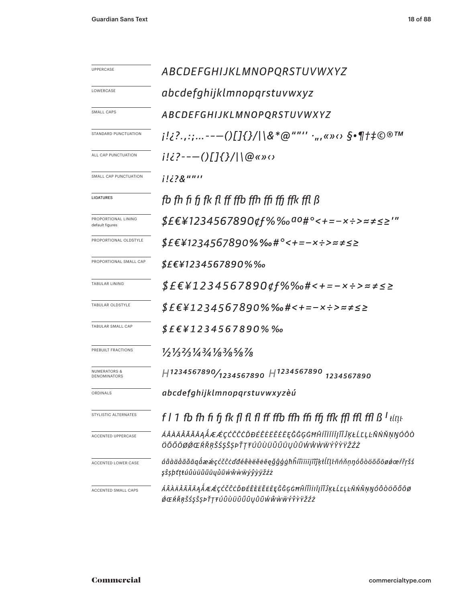| UPPERCASE                               | ABCDEFGHIJKLMNOPQRSTUVWXYZ                                                                                  |  |  |  |  |
|-----------------------------------------|-------------------------------------------------------------------------------------------------------------|--|--|--|--|
| LOWERCASE                               | abcdefghijklmnopqrstuvwxyz                                                                                  |  |  |  |  |
| <b>SMALL CAPS</b>                       | ABCDEFGHIJKLMNOPQRSTUVWXYZ                                                                                  |  |  |  |  |
| STANDARD PUNCTUATION                    | ;!¿?.,:;--—()[]{}/ \&*@""'' ·",«»‹› §•¶†‡©®™                                                                |  |  |  |  |
| ALL CAP PUNCTUATION                     | $i!i$ ?---()[]{}/ \@«» $\circ$                                                                              |  |  |  |  |
| SMALL CAP PUNCTUATION                   | i!¿?&""''                                                                                                   |  |  |  |  |
| <b>LIGATURES</b>                        | fb fh fi fi fk fl ff ffb ffh ffi ffi ffk ffl ß                                                              |  |  |  |  |
| PROPORTIONAL LINING<br>default figures  | <i>\$£€¥1234567890¢f%‰<sup>ao</sup>#°&lt;+=-×÷&gt;≈≠≤≥'"</i>                                                |  |  |  |  |
| PROPORTIONAL OLDSTYLE                   | \$£€¥1234567890%‰#°<+=-×÷>≈≠≤≥                                                                              |  |  |  |  |
| PROPORTIONAL SMALL CAP                  | $$E$ £\{1234567890%%                                                                                        |  |  |  |  |
| <b>TABULAR LINING</b>                   | <i>\$£€¥1234567890¢f%‰#&lt;+=-×÷&gt;≈≠≤≥</i>                                                                |  |  |  |  |
| TABULAR OLDSTYLE                        | \$£€¥1234567890%‰#<+=-×÷>≈≠≤≥                                                                               |  |  |  |  |
| TABULAR SMALL CAP                       | $$E$ E\1234567890% ‰                                                                                        |  |  |  |  |
| PREBUILT FRACTIONS                      | 1/21/32/31/43/41/83/85/87/8                                                                                 |  |  |  |  |
| <b>NUMERATORS &amp;</b><br>DENOMINATORS | $H$ 1234567890/ <sub>1234567890</sub> H <sub>1234567890</sub><br>1234567890                                 |  |  |  |  |
| ORDINALS                                | abcdefghijklmnopqrstuvwxyzèú                                                                                |  |  |  |  |
| STYLISTIC ALTERNATES                    | f l 1 fb fh fi fj fk fl fl fl ff ffb ffh ffi ffi ffk ffl ffl ffl $B^1$ titue                                |  |  |  |  |
| ACCENTED UPPERCASE                      | ÁÂÀÄÅÃĂĀĄÅÆÆÇĆČĈĊĎĐÉÊÈËĔĔĘĞĜĢĠĦĤÍÎÌÏĪJĨĬĴĶŁĹĽĻĿÑŃŇŅŊÓÔÒ<br>ÖŐŐŌØØŒŔŘŖŠŚŞŜȘÞŤŢŦÚÛÙÜŬŰŪŲŮŨŴŴŴŴŶŶŸŽŹŻ          |  |  |  |  |
| ACCENTED LOWER CASE                     | áâàäåãăāąåææçćčĉcďđéêèëěeēęǧĝģġħĥíîìïiījĩĭĵķłĺľḷŀñńňṇŋóôòöõőōøǿœŕřŗšś<br>şŝşþťțŧúûùüŭűūųůũŵŵẁŵýŷỳÿžźż       |  |  |  |  |
| ACCENTED SMALL CAPS                     | <i>ÁÂÀÄÄÃĂĀĄÅÆÆ</i> ÇĆČĈĊĎĐÉÊÈËĔĔĘĞĜĢĠĦĤÍÎÌÏĪĮĨĬĴĶŁĹĽĻĿÑŃŇŅŊÓÔÒÖÕŐŌØ<br>ØŒŔŘŖŠŚŞŜŞÞŤŢŦÚÛÙÜŬŰŪŲŮŨŴŴŴŴÝŶŸŸŽŹŻ |  |  |  |  |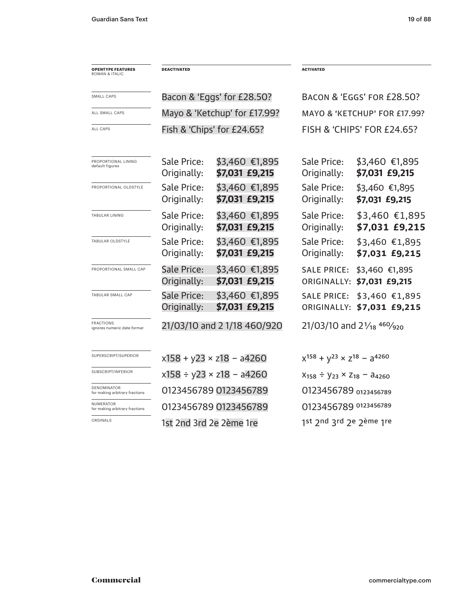| <b>OPENTYPE FEATURES</b><br>ROMAN & ITALIC         | <b>DEACTIVATED</b>                 |                                   | <b>ACTIVATED</b>                                    |                                              |  |
|----------------------------------------------------|------------------------------------|-----------------------------------|-----------------------------------------------------|----------------------------------------------|--|
| SMALL CAPS                                         |                                    | Bacon & 'Eggs' for £28.50?        |                                                     | BACON & 'EGGS' FOR £28.50?                   |  |
| ALL SMALL CAPS                                     | Mayo & 'Ketchup' for £17.99?       |                                   | MAYO & 'KETCHUP' FOR £17.99?                        |                                              |  |
| ALL CAPS                                           | Fish & 'Chips' for £24.65?         |                                   | FISH & 'CHIPS' FOR £24.65?                          |                                              |  |
| PROPORTIONAL LINING<br>default figures             | Sale Price:<br>Originally:         | \$3,460 €1,895<br>\$7,031 £9,215  | Sale Price:<br>Originally:                          | \$3,460 €1,895<br>\$7,031 £9,215             |  |
| PROPORTIONAL OLDSTYLE                              | Sale Price:<br>Originally:         | \$3,460 €1,895<br>\$7,031 £9,215  | Sale Price:<br>Originally:                          | \$3,460 €1,895<br>\$7,031 £9,215             |  |
| <b>TABULAR LINING</b>                              | Sale Price:<br>Originally:         | \$3,460 €1,895<br>\$7,031 £9,215  | Sale Price:<br>Originally:                          | \$3,460 €1,895<br>\$7,031 £9,215             |  |
| TABULAR OLDSTYLE                                   | Sale Price:<br>Originally:         | \$3,460 €1,895<br>\$7,031 £9,215  | Sale Price:<br>Originally:                          | $$3,460$ €1,895<br>\$7,031 £9,215            |  |
| PROPORTIONAL SMALL CAP                             | <b>Sale Price:</b><br>Originally:  | $$3,460$ €1,895<br>\$7,031 £9,215 | <b>SALE PRICE:</b>                                  | \$3,460 €1,895<br>ORIGINALLY: \$7,031 £9,215 |  |
| TABULAR SMALL CAP                                  | <b>Sale Price:</b><br>Originally:  | $$3,460$ €1,895<br>\$7,031 £9,215 | <b>SALE PRICE:</b><br>ORIGINALLY:                   | \$3,460 €1,895<br>\$7,031 £9,215             |  |
| <b>FRACTIONS</b><br>ignores numeric date format    | 21/03/10 and 2 1/18 460/920        |                                   | 21/03/10 and $2\frac{1}{18}$ 460/ <sub>920</sub>    |                                              |  |
| SUPERSCRIPT/SUPERIOR                               | $x158 + y23 \times z18 - a4260$    |                                   | $x^{158} + y^{23} \times z^{18} - a^{4260}$         |                                              |  |
| SUBSCRIPT/INFERIOR                                 | $x158 \div y23 \times z18 - a4260$ |                                   | $X_{158}$ ÷ $Y_{23}$ × Z <sub>18</sub> – $a_{4260}$ |                                              |  |
| DENOMINATOR<br>for making arbitrary fractions      |                                    | 0123456789 0123456789             |                                                     | 0123456789 0123456789                        |  |
| <b>NUMERATOR</b><br>for making arbitrary fractions |                                    | 0123456789 0123456789             |                                                     | 0123456789 0123456789                        |  |
| ORDINALS                                           | 1st 2nd 3rd 2e 2ème 1re            |                                   | 1st 2nd 3rd 2e 2ème 1re                             |                                              |  |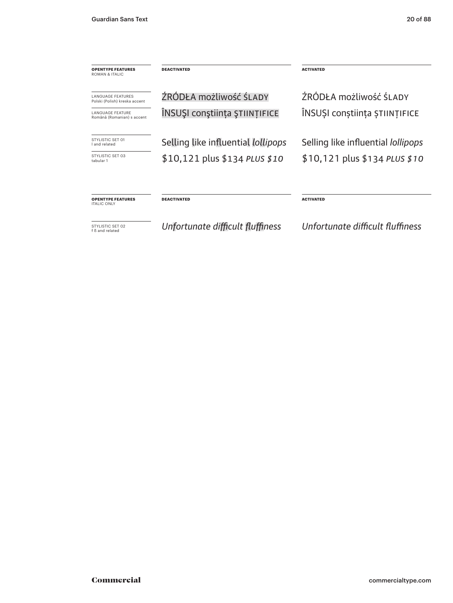| <b>OPENTYPE FEATURES</b><br>ROMAN & ITALIC                 | <b>DEACTIVATED</b>                        | <b>ACTIVATED</b>                          |  |
|------------------------------------------------------------|-------------------------------------------|-------------------------------------------|--|
| <b>I ANGUAGE FEATURES</b><br>Polski (Polish) kreska accent | ŹRÓDŁA możliwość ŚLADY                    | ŹRÓDŁA możliwość ŚLADY                    |  |
| <b>I ANGUAGE FEATURE</b><br>Română (Romanian) s accent     | ÎNSUȘI conștiința ȘTIINȚIFICE             | ÎNSUȘI conștiința ȘTIINȚIFICE             |  |
| STYLISTIC SFT 01<br>I and related                          | Selling like influential <i>lollipops</i> | Selling like influential <i>lollipops</i> |  |
| STYLISTIC SFT 03<br>tabular 1                              | \$10,121 plus \$134 PLUS \$10             | $$10,121$ plus \$134 PLUS \$10            |  |
| <b>OPENTYPE FEATURES</b><br><b>ITALIC ONLY</b>             | <b>DEACTIVATED</b>                        | <b>ACTIVATED</b>                          |  |

STYLISTIC SET 02 f ß and related

*Unfortunate difficult fluffiness*

*Unfortunate difficult fluffiness*